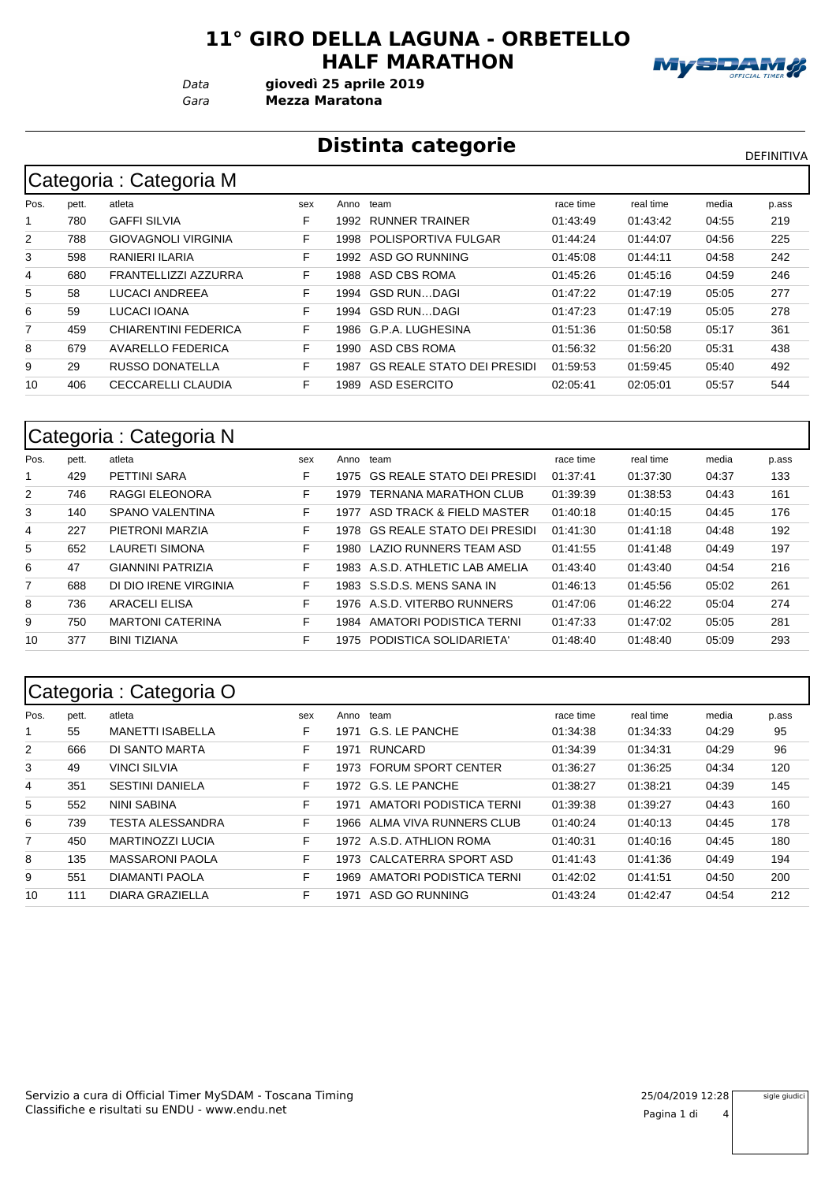#### **11° GIRO DELLA LAGUNA - ORBETELLO HALF MARATHON**

*Gara* **Mezza Maratona** *Data* **giovedì 25 aprile 2019**



# **Distinta categorie** Distintation of the DEFINITIVA

|                | Categoria : Categoria M |                             |     |       |                                   |           |           |       |       |  |  |  |  |
|----------------|-------------------------|-----------------------------|-----|-------|-----------------------------------|-----------|-----------|-------|-------|--|--|--|--|
| Pos.           | pett.                   | atleta                      | sex | Anno  | team                              | race time | real time | media | p.ass |  |  |  |  |
|                | 780                     | <b>GAFFI SILVIA</b>         | F   | 1992  | RUNNER TRAINER                    | 01:43:49  | 01:43:42  | 04:55 | 219   |  |  |  |  |
| $\overline{2}$ | 788                     | <b>GIOVAGNOLI VIRGINIA</b>  | F   | 1998  | POLISPORTIVA FULGAR               | 01:44:24  | 01:44:07  | 04:56 | 225   |  |  |  |  |
| 3              | 598                     | RANIERI ILARIA              | F   | 1992  | ASD GO RUNNING                    | 01:45:08  | 01:44:11  | 04:58 | 242   |  |  |  |  |
| 4              | 680                     | FRANTELLIZZI AZZURRA        | F   | 1988  | ASD CBS ROMA                      | 01:45:26  | 01:45:16  | 04:59 | 246   |  |  |  |  |
| 5              | 58                      | LUCACI ANDREEA              | F.  | 1994  | GSD RUNDAGI                       | 01:47:22  | 01:47:19  | 05:05 | 277   |  |  |  |  |
| 6              | 59                      | LUCACI IOANA                | F   | 1994  | GSD RUNDAGI                       | 01:47:23  | 01:47:19  | 05:05 | 278   |  |  |  |  |
| 7              | 459                     | <b>CHIARENTINI FEDERICA</b> | F   | 1986  | G.P.A. LUGHESINA                  | 01:51:36  | 01:50:58  | 05:17 | 361   |  |  |  |  |
| 8              | 679                     | <b>AVARELLO FEDERICA</b>    | F   | 1990. | ASD CBS ROMA                      | 01:56:32  | 01:56:20  | 05:31 | 438   |  |  |  |  |
| 9              | 29                      | <b>RUSSO DONATELLA</b>      | F   | 1987  | <b>GS REALE STATO DEI PRESIDI</b> | 01:59:53  | 01:59:45  | 05:40 | 492   |  |  |  |  |
| 10             | 406                     | CECCARELLI CLAUDIA          | F   | 1989  | ASD ESERCITO                      | 02:05:41  | 02:05:01  | 05:57 | 544   |  |  |  |  |

## Categoria : Categoria N

| Pos.           | pett. | atleta                   | sex | Anno  | team                              | race time | real time | media | p.ass |
|----------------|-------|--------------------------|-----|-------|-----------------------------------|-----------|-----------|-------|-------|
|                | 429   | PETTINI SARA             | F.  | 1975  | <b>GS REALE STATO DEI PRESIDI</b> | 01:37:41  | 01:37:30  | 04:37 | 133   |
| 2              | 746   | RAGGI ELEONORA           | F   | 1979  | <b>TERNANA MARATHON CLUB</b>      | 01:39:39  | 01:38:53  | 04:43 | 161   |
| 3              | 140   | SPANO VALENTINA          | F   | 1977  | ASD TRACK & FIELD MASTER          | 01:40:18  | 01:40:15  | 04:45 | 176   |
| 4              | 227   | PIETRONI MARZIA          | F.  | 1978  | <b>GS REALE STATO DEI PRESIDI</b> | 01:41:30  | 01:41:18  | 04:48 | 192   |
| 5              | 652   | LAURETI SIMONA           | F.  | 1980- | LAZIO RUNNERS TEAM ASD            | 01:41:55  | 01:41:48  | 04:49 | 197   |
| 6              | 47    | <b>GIANNINI PATRIZIA</b> | F   |       | 1983 A.S.D. ATHLETIC LAB AMELIA   | 01:43:40  | 01:43:40  | 04:54 | 216   |
| $\overline{7}$ | 688   | DI DIO IRENE VIRGINIA    | F   | 1983  | S.S.D.S. MENS SANA IN             | 01:46:13  | 01:45:56  | 05:02 | 261   |
| 8              | 736   | <b>ARACELI ELISA</b>     | F   | 1976  | A.S.D. VITERBO RUNNERS            | 01:47:06  | 01:46:22  | 05:04 | 274   |
| 9              | 750   | <b>MARTONI CATERINA</b>  | F   | 1984  | AMATORI PODISTICA TERNI           | 01:47:33  | 01:47:02  | 05:05 | 281   |
| 10             | 377   | <b>BINI TIZIANA</b>      | F   | 1975  | PODISTICA SOLIDARIETA'            | 01:48:40  | 01:48:40  | 05:09 | 293   |
|                |       |                          |     |       |                                   |           |           |       |       |

## Categoria : Categoria O

|      | ີ     | ັ                       |     |      |                           |           |           |       |       |
|------|-------|-------------------------|-----|------|---------------------------|-----------|-----------|-------|-------|
| Pos. | pett. | atleta                  | sex | Anno | team                      | race time | real time | media | p.ass |
|      | 55    | <b>MANETTI ISABELLA</b> | F   | 1971 | G.S. LE PANCHE            | 01:34:38  | 01:34:33  | 04:29 | 95    |
| 2    | 666   | DI SANTO MARTA          | F   | 1971 | <b>RUNCARD</b>            | 01:34:39  | 01:34:31  | 04:29 | 96    |
| 3    | 49    | <b>VINCI SILVIA</b>     | F   | 1973 | <b>FORUM SPORT CENTER</b> | 01:36:27  | 01:36:25  | 04:34 | 120   |
| 4    | 351   | <b>SESTINI DANIELA</b>  | F   |      | 1972 G.S. LE PANCHE       | 01:38:27  | 01:38:21  | 04:39 | 145   |
| 5    | 552   | <b>NINI SABINA</b>      | F   | 1971 | AMATORI PODISTICA TERNI   | 01:39:38  | 01:39:27  | 04:43 | 160   |
| 6    | 739   | TESTA ALESSANDRA        | F   | 1966 | ALMA VIVA RUNNERS CLUB    | 01:40:24  | 01:40:13  | 04:45 | 178   |
| 7    | 450   | <b>MARTINOZZI LUCIA</b> | F   |      | 1972 A.S.D. ATHLION ROMA  | 01:40:31  | 01.40:16  | 04:45 | 180   |
| 8    | 135   | <b>MASSARONI PAOLA</b>  | F   | 1973 | CALCATERRA SPORT ASD      | 01:41:43  | 01:41:36  | 04:49 | 194   |
| 9    | 551   | DIAMANTI PAOLA          | F   | 1969 | AMATORI PODISTICA TERNI   | 01:42:02  | 01:41:51  | 04:50 | 200   |
| 10   | 111   | DIARA GRAZIELLA         | F   | 1971 | ASD GO RUNNING            | 01:43:24  | 01:42:47  | 04:54 | 212   |

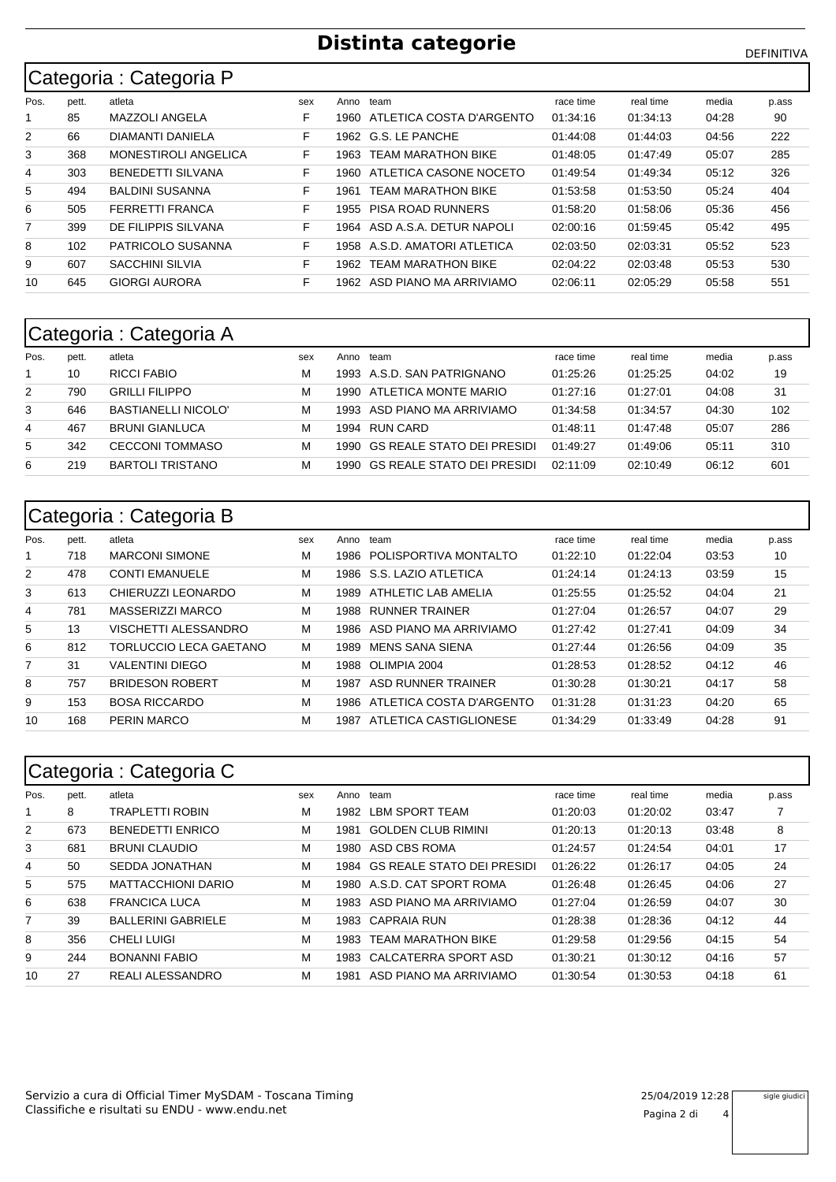# **Distinta categorie** DEFINITIVA

# Categoria : Categoria P

|                | ີ     | ີ                        |     |       |                           |           |           |       |       |
|----------------|-------|--------------------------|-----|-------|---------------------------|-----------|-----------|-------|-------|
| Pos.           | pett. | atleta                   | sex | Anno  | team                      | race time | real time | media | p.ass |
|                | 85    | MAZZOLI ANGELA           | F   | 1960- | ATLETICA COSTA D'ARGENTO  | 01:34:16  | 01:34:13  | 04:28 | 90    |
| $\overline{2}$ | 66    | DIAMANTI DANIELA         | F   | 1962  | G.S. LE PANCHE            | 01:44:08  | 01:44:03  | 04:56 | 222   |
| 3              | 368   | MONESTIROLI ANGELICA     | F   | 1963  | <b>TEAM MARATHON BIKE</b> | 01:48:05  | 01:47:49  | 05:07 | 285   |
| 4              | 303   | <b>BENEDETTI SILVANA</b> | F   | 1960- | ATLETICA CASONE NOCETO    | 01:49:54  | 01:49:34  | 05:12 | 326   |
| 5              | 494   | <b>BALDINI SUSANNA</b>   | F   | 1961  | <b>TEAM MARATHON BIKE</b> | 01:53:58  | 01:53:50  | 05:24 | 404   |
| 6              | 505   | <b>FERRETTI FRANCA</b>   | F   | 1955  | <b>PISA ROAD RUNNERS</b>  | 01:58:20  | 01:58:06  | 05:36 | 456   |
| 7              | 399   | DE FILIPPIS SILVANA      | F   | 1964  | ASD A.S.A. DETUR NAPOLI   | 02:00:16  | 01:59:45  | 05:42 | 495   |
| 8              | 102   | PATRICOLO SUSANNA        | F   | 1958  | A.S.D. AMATORI ATLETICA   | 02:03:50  | 02:03:31  | 05:52 | 523   |
| 9              | 607   | <b>SACCHINI SILVIA</b>   | F   | 1962  | <b>TEAM MARATHON BIKE</b> | 02:04:22  | 02:03:48  | 05:53 | 530   |
| 10             | 645   | <b>GIORGI AURORA</b>     | F   | 1962  | ASD PIANO MA ARRIVIAMO    | 02:06:11  | 02:05:29  | 05:58 | 551   |

# Categoria : Categoria A

| Pos. | pett. | atleta                     | sex | Anno | team                            | race time | real time | media | p.ass |
|------|-------|----------------------------|-----|------|---------------------------------|-----------|-----------|-------|-------|
|      | 10    | RICCI FABIO                |     |      | 1993 A.S.D. SAN PATRIGNANO      | 01:25:26  | 01:25:25  | 04:02 | 19    |
| 2    | 790   | <b>GRILLI FILIPPO</b>      |     | 1990 | ATLETICA MONTE MARIO            | 01:27:16  | 01:27:01  | 04:08 | -31   |
| 3    | 646   | <b>BASTIANELLI NICOLO'</b> |     |      | 1993 ASD PIANO MA ARRIVIAMO     | 01:34:58  | 01:34:57  | 04:30 | 102   |
| 4    | 467   | <b>BRUNI GIANLUCA</b>      |     | 1994 | RUN CARD                        | 01:48:11  | 01:47:48  | 05:07 | 286   |
| 5    | 342   | <b>CECCONI TOMMASO</b>     |     |      | 1990 GS REALE STATO DEI PRESIDI | 01:49:27  | 01:49:06  | 05:11 | 310   |
| 6    | 219   | <b>BARTOLI TRISTANO</b>    | м   | 1990 | GS REALE STATO DEI PRESIDI      | 02:11:09  | 02:10:49  | 06:12 | 601   |

### Categoria : Categoria B

|                | <u>- ສ -</u> | $-$ - $  -$            |     |       |                               |           |           |       |       |
|----------------|--------------|------------------------|-----|-------|-------------------------------|-----------|-----------|-------|-------|
| Pos.           | pett.        | atleta                 | sex |       | Anno team                     | race time | real time | media | p.ass |
|                | 718          | <b>MARCONI SIMONE</b>  | M   |       | 1986 POLISPORTIVA MONTALTO    | 01:22:10  | 01:22:04  | 03:53 | 10    |
| $\overline{2}$ | 478          | <b>CONTI EMANUELE</b>  | М   |       | 1986 S.S. LAZIO ATLETICA      | 01:24:14  | 01:24:13  | 03:59 | 15    |
| 3              | 613          | CHIERUZZI LEONARDO     | М   | 1989  | ATHLETIC LAB AMELIA           | 01:25:55  | 01:25:52  | 04:04 | 21    |
| 4              | 781          | MASSERIZZI MARCO       | М   |       | 1988 RUNNER TRAINER           | 01:27:04  | 01:26:57  | 04:07 | 29    |
| 5              | 13           | VISCHETTI ALESSANDRO   | М   | 1986. | ASD PIANO MA ARRIVIAMO        | 01:27:42  | 01:27:41  | 04:09 | 34    |
| 6              | 812          | TORLUCCIO LECA GAETANO | м   | 1989  | MENS SANA SIENA               | 01:27:44  | 01:26:56  | 04:09 | 35    |
| 7              | 31           | <b>VALENTINI DIEGO</b> | М   |       | 1988 OLIMPIA 2004             | 01:28:53  | 01:28:52  | 04:12 | 46    |
| 8              | 757          | <b>BRIDESON ROBERT</b> | M   | 1987  | ASD RUNNER TRAINER            | 01:30:28  | 01:30:21  | 04:17 | 58    |
| 9              | 153          | <b>BOSA RICCARDO</b>   | M   |       | 1986 ATLETICA COSTA D'ARGENTO | 01:31:28  | 01:31:23  | 04:20 | 65    |
| 10             | 168          | <b>PERIN MARCO</b>     | М   | 1987  | ATLETICA CASTIGLIONESE        | 01:34:29  | 01:33:49  | 04:28 | 91    |
|                |              |                        |     |       |                               |           |           |       |       |

|                | Categoria : Categoria C |                           |     |      |                                   |           |           |       |       |  |  |  |  |
|----------------|-------------------------|---------------------------|-----|------|-----------------------------------|-----------|-----------|-------|-------|--|--|--|--|
| Pos.           | pett.                   | atleta                    | sex | Anno | team                              | race time | real time | media | p.ass |  |  |  |  |
|                | 8                       | <b>TRAPLETTI ROBIN</b>    | M   | 1982 | LBM SPORT TEAM                    | 01:20:03  | 01:20:02  | 03:47 |       |  |  |  |  |
| $\overline{2}$ | 673                     | <b>BENEDETTI ENRICO</b>   | М   | 1981 | <b>GOLDEN CLUB RIMINI</b>         | 01:20:13  | 01:20:13  | 03:48 | 8     |  |  |  |  |
| 3              | 681                     | <b>BRUNI CLAUDIO</b>      | М   | 1980 | ASD CBS ROMA                      | 01:24:57  | 01:24:54  | 04:01 | 17    |  |  |  |  |
| 4              | 50                      | SEDDA JONATHAN            | М   | 1984 | <b>GS REALE STATO DEI PRESIDI</b> | 01:26:22  | 01:26:17  | 04:05 | 24    |  |  |  |  |
| 5              | 575                     | <b>MATTACCHIONI DARIO</b> | М   | 1980 | A.S.D. CAT SPORT ROMA             | 01:26:48  | 01:26:45  | 04:06 | 27    |  |  |  |  |
| 6              | 638                     | <b>FRANCICA LUCA</b>      | М   | 1983 | ASD PIANO MA ARRIVIAMO            | 01:27:04  | 01:26:59  | 04:07 | 30    |  |  |  |  |
| 7              | 39                      | <b>BALLERINI GABRIELE</b> | М   | 1983 | <b>CAPRAIA RUN</b>                | 01:28:38  | 01:28:36  | 04:12 | 44    |  |  |  |  |
| 8              | 356                     | <b>CHELI LUIGI</b>        | М   | 1983 | <b>TFAM MARATHON BIKE</b>         | 01:29:58  | 01:29:56  | 04:15 | 54    |  |  |  |  |
| 9              | 244                     | <b>BONANNI FABIO</b>      | М   | 1983 | CALCATERRA SPORT ASD              | 01:30:21  | 01:30:12  | 04:16 | 57    |  |  |  |  |
| 10             | 27                      | REALI ALESSANDRO          | M   | 1981 | ASD PIANO MA ARRIVIAMO            | 01:30:54  | 01:30:53  | 04:18 | 61    |  |  |  |  |

sigle giudici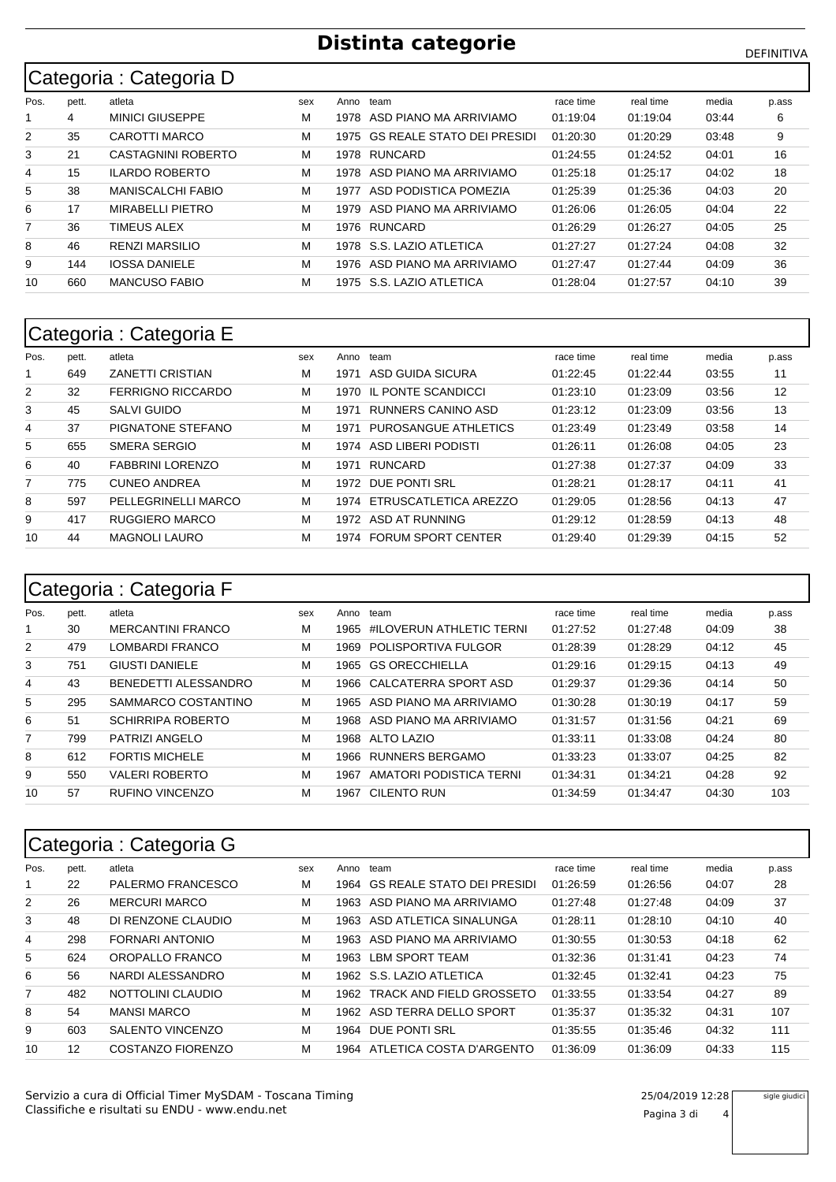# **Distinta categorie Distinta categorie**

#### Pos. pett. atleta sex Sex Anno team sexteem and the media time media Categoria : Categoria D race time p.ass 4 MINICI GIUSEPPE M 1978 ASD PIANO MA ARRIVIAMO 01:19:04 01:19:04 03:44 6 35 CAROTTI MARCO M 1975 GS REALE STATO DEI PRESIDI 01:20:30 01:20:29 03:48 9 21 CASTAGNINI ROBERTO M 1978 RUNCARD 01:24:55 01:24:52 04:01 16 15 ILARDO ROBERTO M 1978 ASD PIANO MA ARRIVIAMO 01:25:18 01:25:17 04:02 18 38 MANISCALCHI FABIO M 1977 ASD PODISTICA POMEZIA 01:25:39 01:25:36 04:03 20 17 MIRABELLI PIETRO M 1979 ASD PIANO MA ARRIVIAMO 01:26:06 01:26:05 04:04 22 36 TIMEUS ALEX M 1976 RUNCARD 01:26:29 01:26:27 04:05 25 46 RENZI MARSILIO M 1978 S.S. LAZIO ATLETICA 01:27:27 01:27:24 04:08 32 144 IOSSA DANIELE M 1976 ASD PIANO MA ARRIVIAMO 01:27:47 01:27:44 04:09 36 660 MANCUSO FABIO M 1975 S.S. LAZIO ATLETICA 01:28:04 01:27:57 04:10 39

#### Categoria : Categoria E

| Pos. | pett. | atleta                   | sex | Anno | team                       | race time | real time | media | p.ass |
|------|-------|--------------------------|-----|------|----------------------------|-----------|-----------|-------|-------|
|      | 649   | <b>ZANETTI CRISTIAN</b>  | М   | 1971 | ASD GUIDA SICURA           | 01:22:45  | 01:22:44  | 03:55 | 11    |
| 2    | 32    | <b>FERRIGNO RICCARDO</b> | м   | 1970 | IL PONTE SCANDICCI         | 01:23:10  | 01:23:09  | 03:56 | 12    |
| 3    | 45    | <b>SALVI GUIDO</b>       | М   | 1971 | RUNNERS CANINO ASD         | 01:23:12  | 01:23:09  | 03:56 | 13    |
| 4    | 37    | PIGNATONE STEFANO        | М   | 1971 | PUROSANGUE ATHLETICS       | 01:23:49  | 01:23:49  | 03:58 | 14    |
| 5    | 655   | SMERA SERGIO             | м   | 1974 | ASD LIBERI PODISTI         | 01:26:11  | 01:26:08  | 04:05 | 23    |
| 6    | 40    | <b>FABBRINI LORENZO</b>  | М   | 1971 | RUNCARD                    | 01:27:38  | 01:27:37  | 04:09 | 33    |
| 7    | 775   | <b>CUNEO ANDREA</b>      | М   | 1972 | DUE PONTI SRL              | 01:28:21  | 01:28:17  | 04:11 | 41    |
| 8    | 597   | PELLEGRINELLI MARCO      | М   |      | 1974 ETRUSCATLETICA AREZZO | 01:29:05  | 01:28:56  | 04:13 | 47    |
| 9    | 417   | RUGGIERO MARCO           | М   | 1972 | ASD AT RUNNING             | 01:29:12  | 01:28:59  | 04:13 | 48    |
| 10   | 44    | <b>MAGNOLI LAURO</b>     | М   | 1974 | <b>FORUM SPORT CENTER</b>  | 01:29:40  | 01:29:39  | 04:15 | 52    |
|      |       |                          |     |      |                            |           |           |       |       |

#### Pos. pett. atleta sex Sex Anno team sexteem and the media time media Categoria : Categoria F race time p.ass 30 MERCANTINI FRANCO M 1965 #ILOVERUN ATHLETIC TERNI 01:27:52 01:27:48 04:09 38 479 LOMBARDI FRANCO M 1969 POLISPORTIVA FULGOR 01:28:39 01:28:29 04:12 45 751 GIUSTI DANIELE M 1965 GS ORECCHIELLA 01:29:16 01:29:15 04:13 49 43 BENEDETTI ALESSANDRO M 1966 CALCATERRA SPORT ASD 01:29:37 01:29:36 04:14 50 295 SAMMARCO COSTANTINO M 1965 ASD PIANO MA ARRIVIAMO 01:30:28 01:30:19 04:17 59 51 SCHIRRIPA ROBERTO M 1968 ASD PIANO MA ARRIVIAMO 01:31:57 01:31:56 04:21 69 799 PATRIZI ANGELO M 1968 ALTO LAZIO 01:33:11 01:33:08 04:24 80 8 612 FORTIS MICHELE M 1966 RUNNERS BERGAMO 01:33:23 01:33:07 04:25 82 550 VALERI ROBERTO M 1967 AMATORI PODISTICA TERNI 01:34:31 01:34:21 04:28 92 57 RUFINO VINCENZO M 1967 CILENTO RUN 01:34:59 01:34:47 04:30 103

|                | Categoria : Categoria G |                        |     |      |                                 |           |           |       |       |  |  |  |  |  |
|----------------|-------------------------|------------------------|-----|------|---------------------------------|-----------|-----------|-------|-------|--|--|--|--|--|
| Pos.           | pett.                   | atleta                 | sex | Anno | team                            | race time | real time | media | p ass |  |  |  |  |  |
|                | 22                      | PALERMO FRANCESCO      | М   |      | 1964 GS REALE STATO DEI PRESIDI | 01:26:59  | 01:26:56  | 04:07 | 28    |  |  |  |  |  |
| 2              | 26                      | <b>MERCURI MARCO</b>   | м   | 1963 | ASD PIANO MA ARRIVIAMO          | 01:27:48  | 01:27:48  | 04:09 | 37    |  |  |  |  |  |
| 3              | 48                      | DI RENZONE CLAUDIO     | м   |      | 1963 ASD ATLETICA SINALUNGA     | 01:28:11  | 01:28:10  | 04:10 | 40    |  |  |  |  |  |
| 4              | 298                     | <b>FORNARI ANTONIO</b> | м   | 1963 | ASD PIANO MA ARRIVIAMO          | 01:30:55  | 01:30:53  | 04:18 | 62    |  |  |  |  |  |
| 5              | 624                     | OROPALLO FRANCO        | м   | 1963 | <b>LBM SPORT TEAM</b>           | 01:32:36  | 01:31:41  | 04:23 | 74    |  |  |  |  |  |
| 6              | 56                      | NARDI ALESSANDRO       | м   |      | 1962 S.S. LAZIO ATLETICA        | 01:32:45  | 01:32:41  | 04:23 | 75    |  |  |  |  |  |
| $\overline{7}$ | 482                     | NOTTOLINI CLAUDIO      | м   | 1962 | TRACK AND FIELD GROSSETO        | 01:33:55  | 01:33:54  | 04:27 | 89    |  |  |  |  |  |
| 8              | 54                      | <b>MANSI MARCO</b>     | м   | 1962 | ASD TERRA DELLO SPORT           | 01:35:37  | 01:35:32  | 04:31 | 107   |  |  |  |  |  |
| 9              | 603                     | SALENTO VINCENZO       | м   | 1964 | DUE PONTI SRL                   | 01:35:55  | 01:35:46  | 04:32 | 111   |  |  |  |  |  |
| 10             | 12                      | COSTANZO FIORENZO      | М   |      | 1964 ATLETICA COSTA D'ARGENTO   | 01:36:09  | 01:36:09  | 04:33 | 115   |  |  |  |  |  |

sigle giudici

Pagina 3 di 4